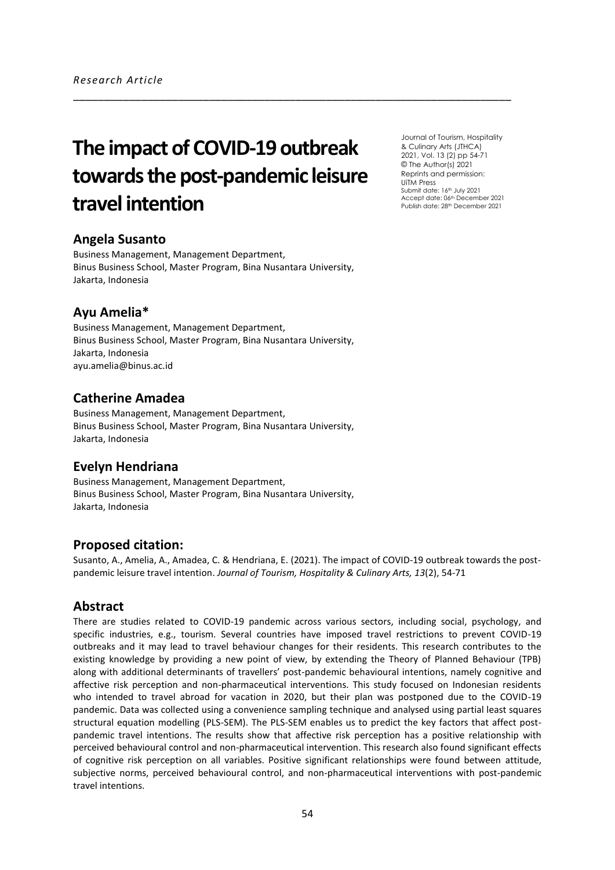# **The impact of COVID-19 outbreak towards the post-pandemic leisure travel intention**

\_\_\_\_\_\_\_\_\_\_\_\_\_\_\_\_\_\_\_\_\_\_\_\_\_\_\_\_\_\_\_\_\_\_\_\_\_\_\_\_\_\_\_\_\_\_\_\_\_\_\_\_\_\_\_\_\_\_\_\_\_\_\_\_\_\_\_\_\_\_\_

## **Angela Susanto**

Business Management, Management Department, Binus Business School, Master Program, Bina Nusantara University, Jakarta, Indonesia

#### **Ayu Amelia\***

Business Management, Management Department, Binus Business School, Master Program, Bina Nusantara University, Jakarta, Indonesia [ayu.amelia@binus.ac.id](mailto:ayu.amelia@binus.ac.id)

## **Catherine Amadea**

Business Management, Management Department, Binus Business School, Master Program, Bina Nusantara University, Jakarta, Indonesia

## **Evelyn Hendriana**

Business Management, Management Department, Binus Business School, Master Program, Bina Nusantara University, Jakarta, Indonesia

#### **Proposed citation:**

Susanto, A., Amelia, A., Amadea, C. & Hendriana, E. (2021). The impact of COVID-19 outbreak towards the postpandemic leisure travel intention. *Journal of Tourism, Hospitality & Culinary Arts, 13*(2), 54-71

## **Abstract**

There are studies related to COVID-19 pandemic across various sectors, including social, psychology, and specific industries, e.g., tourism. Several countries have imposed travel restrictions to prevent COVID-19 outbreaks and it may lead to travel behaviour changes for their residents. This research contributes to the existing knowledge by providing a new point of view, by extending the Theory of Planned Behaviour (TPB) along with additional determinants of travellers' post-pandemic behavioural intentions, namely cognitive and affective risk perception and non-pharmaceutical interventions. This study focused on Indonesian residents who intended to travel abroad for vacation in 2020, but their plan was postponed due to the COVID-19 pandemic. Data was collected using a convenience sampling technique and analysed using partial least squares structural equation modelling (PLS-SEM). The PLS-SEM enables us to predict the key factors that affect postpandemic travel intentions. The results show that affective risk perception has a positive relationship with perceived behavioural control and non-pharmaceutical intervention. This research also found significant effects of cognitive risk perception on all variables. Positive significant relationships were found between attitude, subjective norms, perceived behavioural control, and non-pharmaceutical interventions with post-pandemic travel intentions.

Journal of Tourism, Hospitality & Culinary Arts (JTHCA) 2021, Vol. 13 (2) pp 54-71 © The Author(s) 2021 Reprints and permission: UiTM Press Submit date: 16<sup>th</sup> July 2021 Accept date: 06<sup>th</sup> December 2021 Publish date: 28th December 2021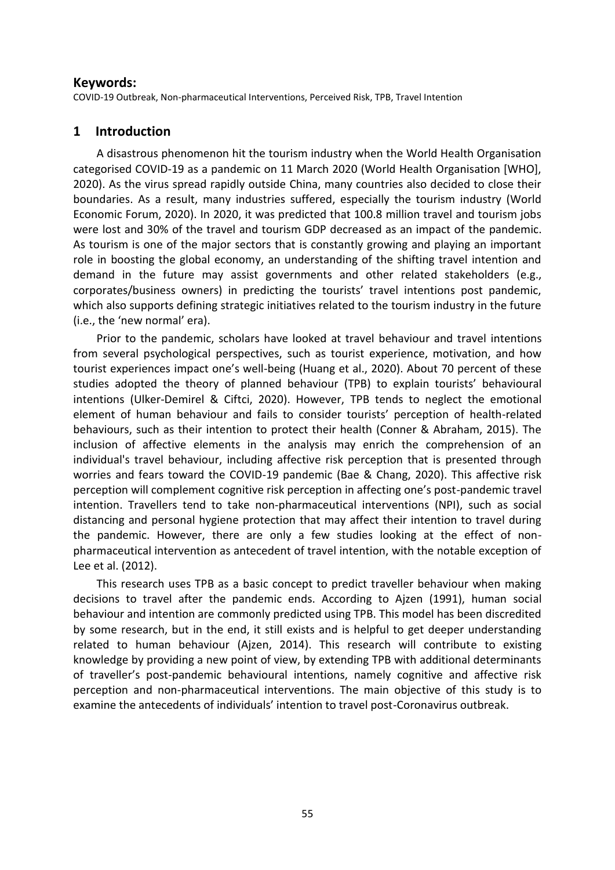#### **Keywords:**

COVID-19 Outbreak, Non-pharmaceutical Interventions, Perceived Risk, TPB, Travel Intention

# **1 Introduction**

A disastrous phenomenon hit the tourism industry when the World Health Organisation categorised COVID-19 as a pandemic on 11 March 2020 (World Health Organisation [WHO], 2020). As the virus spread rapidly outside China, many countries also decided to close their boundaries. As a result, many industries suffered, especially the tourism industry (World Economic Forum, 2020). In 2020, it was predicted that 100.8 million travel and tourism jobs were lost and 30% of the travel and tourism GDP decreased as an impact of the pandemic. As tourism is one of the major sectors that is constantly growing and playing an important role in boosting the global economy, an understanding of the shifting travel intention and demand in the future may assist governments and other related stakeholders (e.g., corporates/business owners) in predicting the tourists' travel intentions post pandemic, which also supports defining strategic initiatives related to the tourism industry in the future (i.e., the 'new normal' era).

Prior to the pandemic, scholars have looked at travel behaviour and travel intentions from several psychological perspectives, such as tourist experience, motivation, and how tourist experiences impact one's well-being (Huang et al., 2020). About 70 percent of these studies adopted the theory of planned behaviour (TPB) to explain tourists' behavioural intentions (Ulker-Demirel & Ciftci, 2020). However, TPB tends to neglect the emotional element of human behaviour and fails to consider tourists' perception of health-related behaviours, such as their intention to protect their health (Conner & Abraham, 2015). The inclusion of affective elements in the analysis may enrich the comprehension of an individual's travel behaviour, including affective risk perception that is presented through worries and fears toward the COVID-19 pandemic (Bae & Chang, 2020). This affective risk perception will complement cognitive risk perception in affecting one's post-pandemic travel intention. Travellers tend to take non-pharmaceutical interventions (NPI), such as social distancing and personal hygiene protection that may affect their intention to travel during the pandemic. However, there are only a few studies looking at the effect of nonpharmaceutical intervention as antecedent of travel intention, with the notable exception of Lee et al. (2012).

This research uses TPB as a basic concept to predict traveller behaviour when making decisions to travel after the pandemic ends. According to Ajzen (1991), human social behaviour and intention are commonly predicted using TPB. This model has been discredited by some research, but in the end, it still exists and is helpful to get deeper understanding related to human behaviour (Ajzen, 2014). This research will contribute to existing knowledge by providing a new point of view, by extending TPB with additional determinants of traveller's post-pandemic behavioural intentions, namely cognitive and affective risk perception and non-pharmaceutical interventions. The main objective of this study is to examine the antecedents of individuals' intention to travel post-Coronavirus outbreak.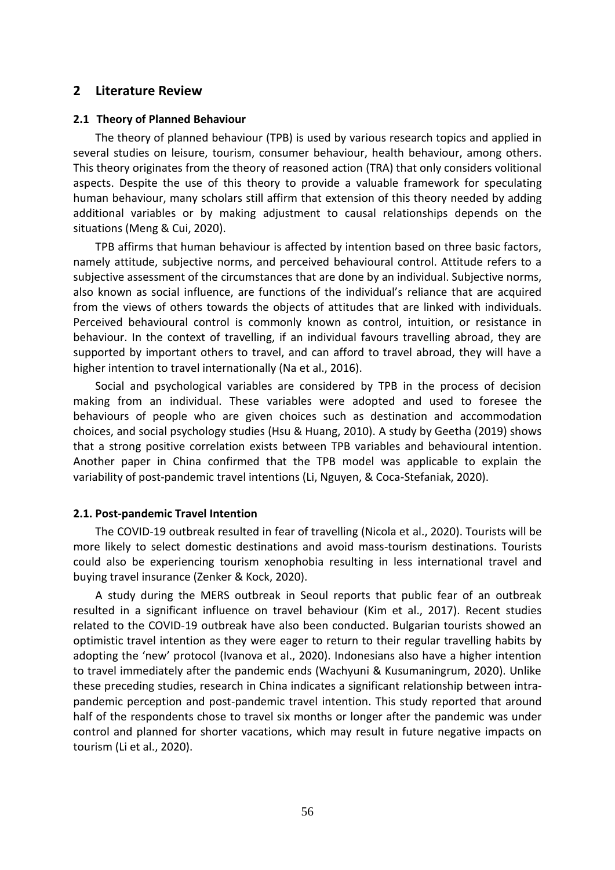#### **2 Literature Review**

#### **2.1 Theory of Planned Behaviour**

The theory of planned behaviour (TPB) is used by various research topics and applied in several studies on leisure, tourism, consumer behaviour, health behaviour, among others. This theory originates from the theory of reasoned action (TRA) that only considers volitional aspects. Despite the use of this theory to provide a valuable framework for speculating human behaviour, many scholars still affirm that extension of this theory needed by adding additional variables or by making adjustment to causal relationships depends on the situations (Meng & Cui, 2020).

TPB affirms that human behaviour is affected by intention based on three basic factors, namely attitude, subjective norms, and perceived behavioural control. Attitude refers to a subjective assessment of the circumstances that are done by an individual. Subjective norms, also known as social influence, are functions of the individual's reliance that are acquired from the views of others towards the objects of attitudes that are linked with individuals. Perceived behavioural control is commonly known as control, intuition, or resistance in behaviour. In the context of travelling, if an individual favours travelling abroad, they are supported by important others to travel, and can afford to travel abroad, they will have a higher intention to travel internationally (Na et al., 2016).

Social and psychological variables are considered by TPB in the process of decision making from an individual. These variables were adopted and used to foresee the behaviours of people who are given choices such as destination and accommodation choices, and social psychology studies (Hsu & Huang, 2010). A study by Geetha (2019) shows that a strong positive correlation exists between TPB variables and behavioural intention. Another paper in China confirmed that the TPB model was applicable to explain the variability of post-pandemic travel intentions (Li, Nguyen, & Coca-Stefaniak, 2020).

#### **2.1. Post-pandemic Travel Intention**

The COVID-19 outbreak resulted in fear of travelling (Nicola et al., 2020). Tourists will be more likely to select domestic destinations and avoid mass-tourism destinations. Tourists could also be experiencing tourism xenophobia resulting in less international travel and buying travel insurance (Zenker & Kock, 2020).

A study during the MERS outbreak in Seoul reports that public fear of an outbreak resulted in a significant influence on travel behaviour (Kim et al., 2017). Recent studies related to the COVID-19 outbreak have also been conducted. Bulgarian tourists showed an optimistic travel intention as they were eager to return to their regular travelling habits by adopting the 'new' protocol (Ivanova et al., 2020). Indonesians also have a higher intention to travel immediately after the pandemic ends (Wachyuni & Kusumaningrum, 2020). Unlike these preceding studies, research in China indicates a significant relationship between intrapandemic perception and post-pandemic travel intention. This study reported that around half of the respondents chose to travel six months or longer after the pandemic was under control and planned for shorter vacations, which may result in future negative impacts on tourism (Li et al., 2020).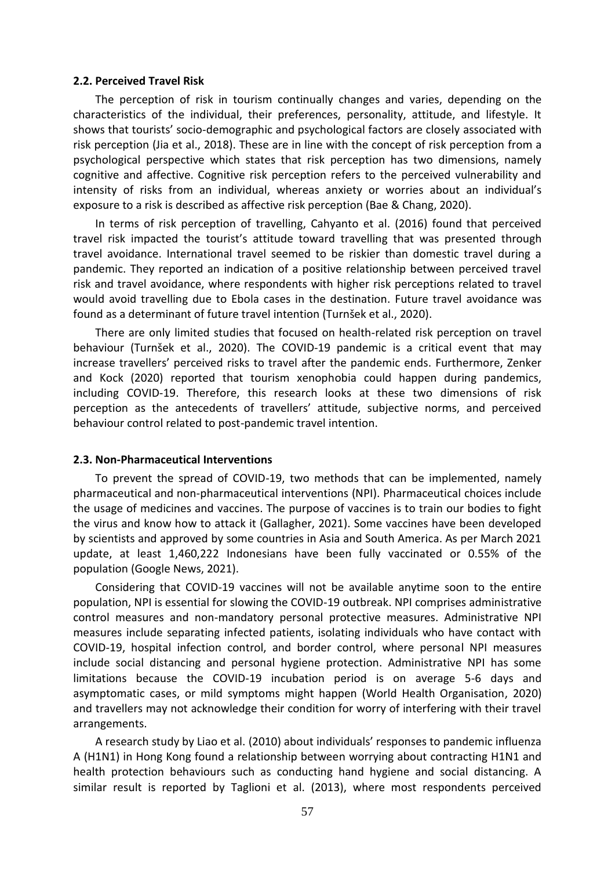#### **2.2. Perceived Travel Risk**

The perception of risk in tourism continually changes and varies, depending on the characteristics of the individual, their preferences, personality, attitude, and lifestyle. It shows that tourists' socio-demographic and psychological factors are closely associated with risk perception (Jia et al., 2018). These are in line with the concept of risk perception from a psychological perspective which states that risk perception has two dimensions, namely cognitive and affective. Cognitive risk perception refers to the perceived vulnerability and intensity of risks from an individual, whereas anxiety or worries about an individual's exposure to a risk is described as affective risk perception (Bae & Chang, 2020).

In terms of risk perception of travelling, Cahyanto et al. (2016) found that perceived travel risk impacted the tourist's attitude toward travelling that was presented through travel avoidance. International travel seemed to be riskier than domestic travel during a pandemic. They reported an indication of a positive relationship between perceived travel risk and travel avoidance, where respondents with higher risk perceptions related to travel would avoid travelling due to Ebola cases in the destination. Future travel avoidance was found as a determinant of future travel intention (Turnšek et al., 2020).

There are only limited studies that focused on health-related risk perception on travel behaviour (Turnšek et al., 2020). The COVID-19 pandemic is a critical event that may increase travellers' perceived risks to travel after the pandemic ends. Furthermore, Zenker and Kock (2020) reported that tourism xenophobia could happen during pandemics, including COVID-19. Therefore, this research looks at these two dimensions of risk perception as the antecedents of travellers' attitude, subjective norms, and perceived behaviour control related to post-pandemic travel intention.

#### **2.3. Non-Pharmaceutical Interventions**

To prevent the spread of COVID-19, two methods that can be implemented, namely pharmaceutical and non-pharmaceutical interventions (NPI). Pharmaceutical choices include the usage of medicines and vaccines. The purpose of vaccines is to train our bodies to fight the virus and know how to attack it (Gallagher, 2021). Some vaccines have been developed by scientists and approved by some countries in Asia and South America. As per March 2021 update, at least 1,460,222 Indonesians have been fully vaccinated or 0.55% of the population (Google News, 2021).

Considering that COVID-19 vaccines will not be available anytime soon to the entire population, NPI is essential for slowing the COVID-19 outbreak. NPI comprises administrative control measures and non-mandatory personal protective measures. Administrative NPI measures include separating infected patients, isolating individuals who have contact with COVID-19, hospital infection control, and border control, where personal NPI measures include social distancing and personal hygiene protection. Administrative NPI has some limitations because the COVID-19 incubation period is on average 5-6 days and asymptomatic cases, or mild symptoms might happen (World Health Organisation, 2020) and travellers may not acknowledge their condition for worry of interfering with their travel arrangements.

A research study by Liao et al. (2010) about individuals' responses to pandemic influenza A (H1N1) in Hong Kong found a relationship between worrying about contracting H1N1 and health protection behaviours such as conducting hand hygiene and social distancing. A similar result is reported by Taglioni et al. (2013), where most respondents perceived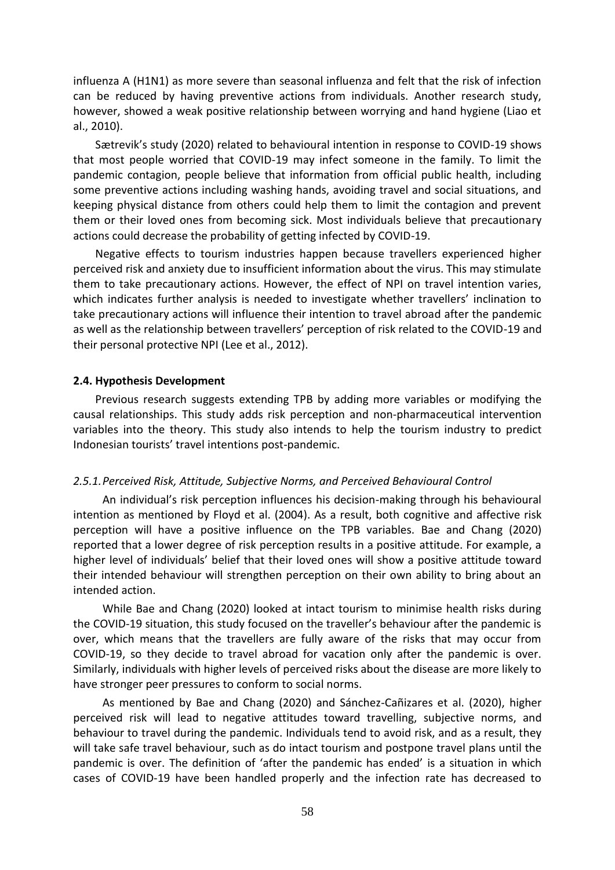influenza A (H1N1) as more severe than seasonal influenza and felt that the risk of infection can be reduced by having preventive actions from individuals. Another research study, however, showed a weak positive relationship between worrying and hand hygiene (Liao et al., 2010).

Sætrevik's study (2020) related to behavioural intention in response to COVID-19 shows that most people worried that COVID-19 may infect someone in the family. To limit the pandemic contagion, people believe that information from official public health, including some preventive actions including washing hands, avoiding travel and social situations, and keeping physical distance from others could help them to limit the contagion and prevent them or their loved ones from becoming sick. Most individuals believe that precautionary actions could decrease the probability of getting infected by COVID-19.

Negative effects to tourism industries happen because travellers experienced higher perceived risk and anxiety due to insufficient information about the virus. This may stimulate them to take precautionary actions. However, the effect of NPI on travel intention varies, which indicates further analysis is needed to investigate whether travellers' inclination to take precautionary actions will influence their intention to travel abroad after the pandemic as well as the relationship between travellers' perception of risk related to the COVID-19 and their personal protective NPI (Lee et al., 2012).

#### **2.4. Hypothesis Development**

Previous research suggests extending TPB by adding more variables or modifying the causal relationships. This study adds risk perception and non-pharmaceutical intervention variables into the theory. This study also intends to help the tourism industry to predict Indonesian tourists' travel intentions post-pandemic.

#### *2.5.1.Perceived Risk, Attitude, Subjective Norms, and Perceived Behavioural Control*

An individual's risk perception influences his decision-making through his behavioural intention as mentioned by Floyd et al. (2004). As a result, both cognitive and affective risk perception will have a positive influence on the TPB variables. Bae and Chang (2020) reported that a lower degree of risk perception results in a positive attitude. For example, a higher level of individuals' belief that their loved ones will show a positive attitude toward their intended behaviour will strengthen perception on their own ability to bring about an intended action.

While Bae and Chang (2020) looked at intact tourism to minimise health risks during the COVID-19 situation, this study focused on the traveller's behaviour after the pandemic is over, which means that the travellers are fully aware of the risks that may occur from COVID-19, so they decide to travel abroad for vacation only after the pandemic is over. Similarly, individuals with higher levels of perceived risks about the disease are more likely to have stronger peer pressures to conform to social norms.

As mentioned by Bae and Chang (2020) and Sánchez-Cañizares et al. (2020), higher perceived risk will lead to negative attitudes toward travelling, subjective norms, and behaviour to travel during the pandemic. Individuals tend to avoid risk, and as a result, they will take safe travel behaviour, such as do intact tourism and postpone travel plans until the pandemic is over. The definition of 'after the pandemic has ended' is a situation in which cases of COVID-19 have been handled properly and the infection rate has decreased to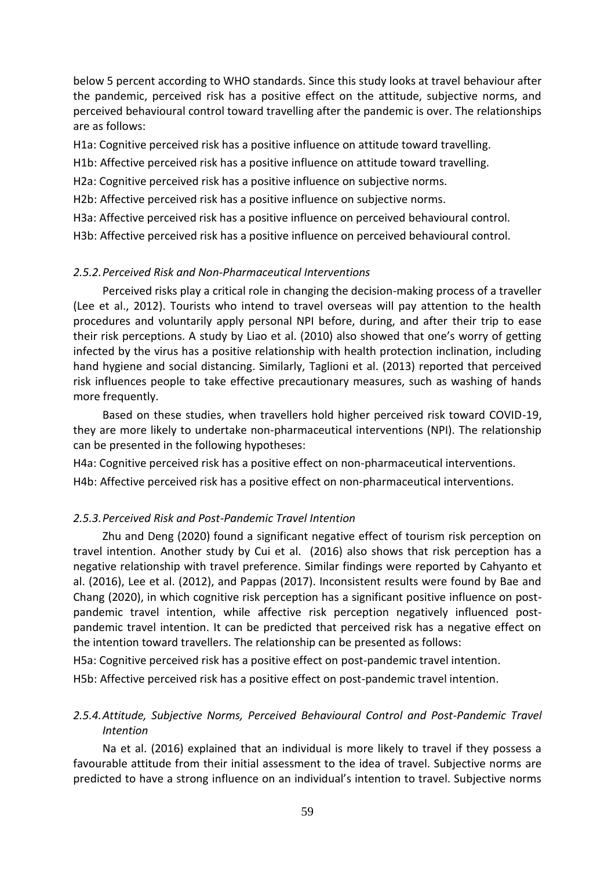below 5 percent according to WHO standards. Since this study looks at travel behaviour after the pandemic, perceived risk has a positive effect on the attitude, subjective norms, and perceived behavioural control toward travelling after the pandemic is over. The relationships are as follows:

H1a: Cognitive perceived risk has a positive influence on attitude toward travelling.

H1b: Affective perceived risk has a positive influence on attitude toward travelling.

H2a: Cognitive perceived risk has a positive influence on subjective norms.

H2b: Affective perceived risk has a positive influence on subjective norms.

H3a: Affective perceived risk has a positive influence on perceived behavioural control.

H3b: Affective perceived risk has a positive influence on perceived behavioural control.

## *2.5.2.Perceived Risk and Non-Pharmaceutical Interventions*

Perceived risks play a critical role in changing the decision-making process of a traveller (Lee et al., 2012). Tourists who intend to travel overseas will pay attention to the health procedures and voluntarily apply personal NPI before, during, and after their trip to ease their risk perceptions. A study by Liao et al. (2010) also showed that one's worry of getting infected by the virus has a positive relationship with health protection inclination, including hand hygiene and social distancing. Similarly, Taglioni et al. (2013) reported that perceived risk influences people to take effective precautionary measures, such as washing of hands more frequently.

Based on these studies, when travellers hold higher perceived risk toward COVID-19, they are more likely to undertake non-pharmaceutical interventions (NPI). The relationship can be presented in the following hypotheses:

H4a: Cognitive perceived risk has a positive effect on non-pharmaceutical interventions.

H4b: Affective perceived risk has a positive effect on non-pharmaceutical interventions.

## *2.5.3.Perceived Risk and Post-Pandemic Travel Intention*

Zhu and Deng (2020) found a significant negative effect of tourism risk perception on travel intention. Another study by Cui et al. (2016) also shows that risk perception has a negative relationship with travel preference. Similar findings were reported by Cahyanto et al. (2016), Lee et al. (2012), and Pappas (2017). Inconsistent results were found by Bae and Chang (2020), in which cognitive risk perception has a significant positive influence on postpandemic travel intention, while affective risk perception negatively influenced postpandemic travel intention. It can be predicted that perceived risk has a negative effect on the intention toward travellers. The relationship can be presented as follows:

H5a: Cognitive perceived risk has a positive effect on post-pandemic travel intention.

H5b: Affective perceived risk has a positive effect on post-pandemic travel intention.

# *2.5.4.Attitude, Subjective Norms, Perceived Behavioural Control and Post-Pandemic Travel Intention*

Na et al. (2016) explained that an individual is more likely to travel if they possess a favourable attitude from their initial assessment to the idea of travel. Subjective norms are predicted to have a strong influence on an individual's intention to travel. Subjective norms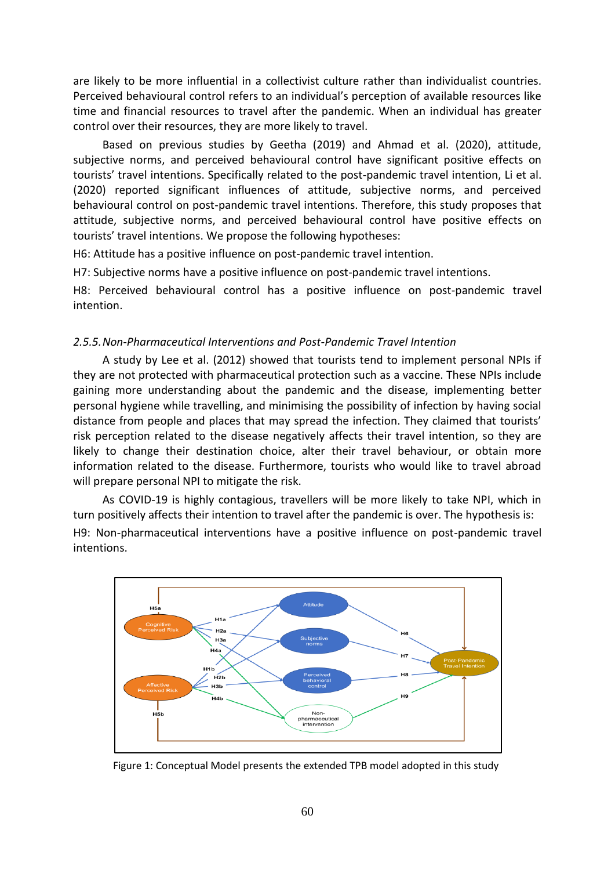are likely to be more influential in a collectivist culture rather than individualist countries. Perceived behavioural control refers to an individual's perception of available resources like time and financial resources to travel after the pandemic. When an individual has greater control over their resources, they are more likely to travel.

Based on previous studies by Geetha (2019) and Ahmad et al. (2020), attitude, subjective norms, and perceived behavioural control have significant positive effects on tourists' travel intentions. Specifically related to the post-pandemic travel intention, Li et al. (2020) reported significant influences of attitude, subjective norms, and perceived behavioural control on post-pandemic travel intentions. Therefore, this study proposes that attitude, subjective norms, and perceived behavioural control have positive effects on tourists' travel intentions. We propose the following hypotheses:

H6: Attitude has a positive influence on post-pandemic travel intention.

H7: Subjective norms have a positive influence on post-pandemic travel intentions.

H8: Perceived behavioural control has a positive influence on post-pandemic travel intention.

#### *2.5.5.Non-Pharmaceutical Interventions and Post-Pandemic Travel Intention*

A study by Lee et al. (2012) showed that tourists tend to implement personal NPIs if they are not protected with pharmaceutical protection such as a vaccine. These NPIs include gaining more understanding about the pandemic and the disease, implementing better personal hygiene while travelling, and minimising the possibility of infection by having social distance from people and places that may spread the infection. They claimed that tourists' risk perception related to the disease negatively affects their travel intention, so they are likely to change their destination choice, alter their travel behaviour, or obtain more information related to the disease. Furthermore, tourists who would like to travel abroad will prepare personal NPI to mitigate the risk.

As COVID-19 is highly contagious, travellers will be more likely to take NPI, which in turn positively affects their intention to travel after the pandemic is over. The hypothesis is: H9: Non-pharmaceutical interventions have a positive influence on post-pandemic travel intentions.



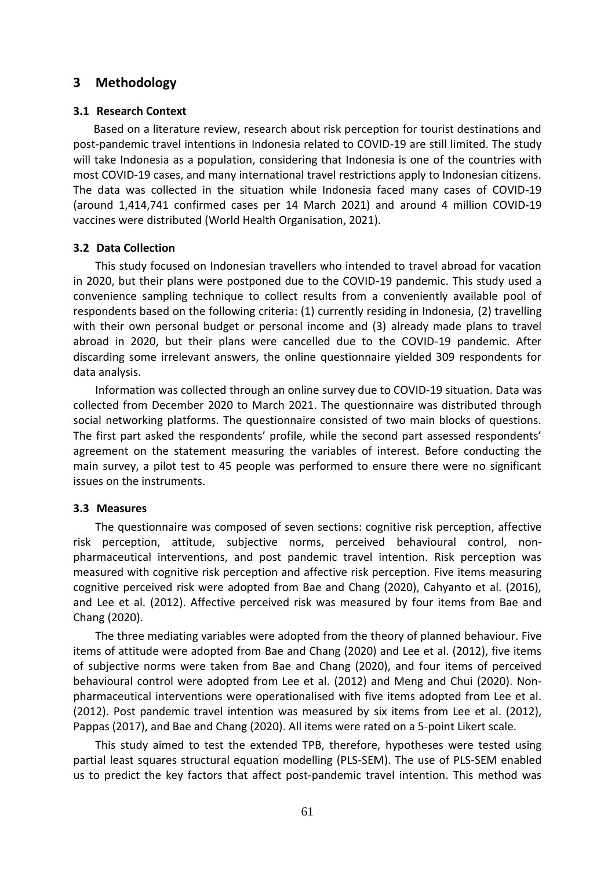# **3 Methodology**

#### **3.1 Research Context**

Based on a literature review, research about risk perception for tourist destinations and post-pandemic travel intentions in Indonesia related to COVID-19 are still limited. The study will take Indonesia as a population, considering that Indonesia is one of the countries with most COVID-19 cases, and many international travel restrictions apply to Indonesian citizens. The data was collected in the situation while Indonesia faced many cases of COVID-19 (around 1,414,741 confirmed cases per 14 March 2021) and around 4 million COVID-19 vaccines were distributed (World Health Organisation, 2021).

#### **3.2 Data Collection**

This study focused on Indonesian travellers who intended to travel abroad for vacation in 2020, but their plans were postponed due to the COVID-19 pandemic. This study used a convenience sampling technique to collect results from a conveniently available pool of respondents based on the following criteria: (1) currently residing in Indonesia, (2) travelling with their own personal budget or personal income and (3) already made plans to travel abroad in 2020, but their plans were cancelled due to the COVID-19 pandemic. After discarding some irrelevant answers, the online questionnaire yielded 309 respondents for data analysis.

Information was collected through an online survey due to COVID-19 situation. Data was collected from December 2020 to March 2021. The questionnaire was distributed through social networking platforms. The questionnaire consisted of two main blocks of questions. The first part asked the respondents' profile, while the second part assessed respondents' agreement on the statement measuring the variables of interest. Before conducting the main survey, a pilot test to 45 people was performed to ensure there were no significant issues on the instruments.

#### **3.3 Measures**

The questionnaire was composed of seven sections: cognitive risk perception, affective risk perception, attitude, subjective norms, perceived behavioural control, nonpharmaceutical interventions, and post pandemic travel intention. Risk perception was measured with cognitive risk perception and affective risk perception. Five items measuring cognitive perceived risk were adopted from Bae and Chang (2020), Cahyanto et al. (2016), and Lee et al. (2012). Affective perceived risk was measured by four items from Bae and Chang (2020).

The three mediating variables were adopted from the theory of planned behaviour. Five items of attitude were adopted from Bae and Chang (2020) and Lee et al. (2012), five items of subjective norms were taken from Bae and Chang (2020), and four items of perceived behavioural control were adopted from Lee et al. (2012) and Meng and Chui (2020). Nonpharmaceutical interventions were operationalised with five items adopted from Lee et al. (2012). Post pandemic travel intention was measured by six items from Lee et al. (2012), Pappas (2017), and Bae and Chang (2020). All items were rated on a 5-point Likert scale.

This study aimed to test the extended TPB, therefore, hypotheses were tested using partial least squares structural equation modelling (PLS-SEM). The use of PLS-SEM enabled us to predict the key factors that affect post-pandemic travel intention. This method was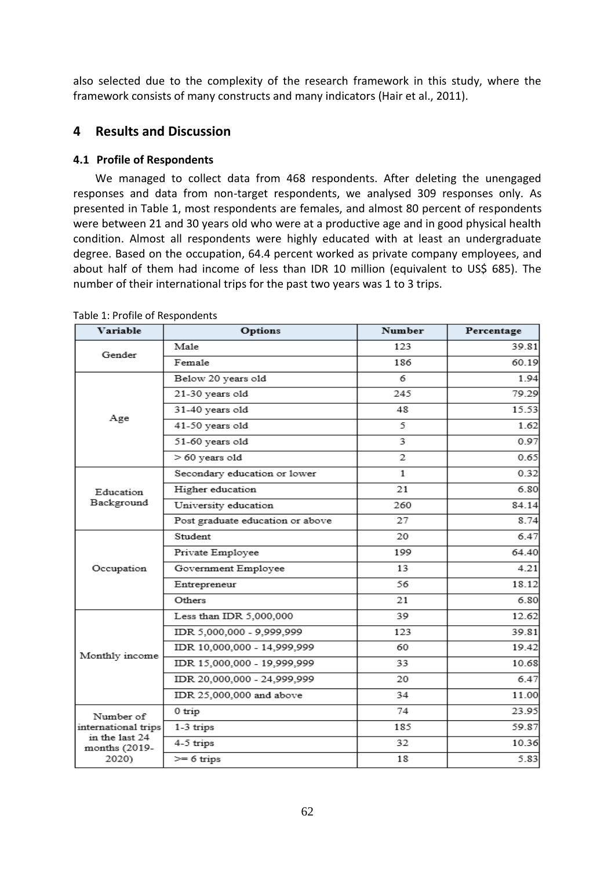also selected due to the complexity of the research framework in this study, where the framework consists of many constructs and many indicators (Hair et al., 2011).

# **4 Results and Discussion**

## **4.1 Profile of Respondents**

We managed to collect data from 468 respondents. After deleting the unengaged responses and data from non-target respondents, we analysed 309 responses only. As presented in Table 1, most respondents are females, and almost 80 percent of respondents were between 21 and 30 years old who were at a productive age and in good physical health condition. Almost all respondents were highly educated with at least an undergraduate degree. Based on the occupation, 64.4 percent worked as private company employees, and about half of them had income of less than IDR 10 million (equivalent to US\$ 685). The number of their international trips for the past two years was 1 to 3 trips.

| Variable                        | Options                          | <b>Number</b>  | Percentage |
|---------------------------------|----------------------------------|----------------|------------|
| Gender                          | Male                             | 123            | 39.81      |
|                                 | Female                           | 186            | 60.19      |
|                                 | Below 20 years old               | 6              | 1.94       |
|                                 | 21-30 years old                  | 245            | 79.29      |
|                                 | 31-40 years old                  | 48             | 15.53      |
| Age                             | 41-50 years old                  | 5              | 1.62       |
|                                 | 51-60 years old                  | 3              | 0.97       |
|                                 | > 60 years old                   | $\overline{2}$ | 0.65       |
|                                 | Secondary education or lower     | $\mathbf{1}$   | 0.32       |
| Education                       | Higher education                 | 21             | 6.80       |
| Background                      | University education             | 260            | 84.14      |
|                                 | Post graduate education or above | 27             | 8.74       |
|                                 | Student                          | 20             | 6.47       |
|                                 | Private Employee                 | 199            | 64.40      |
| Occupation                      | Government Employee              | 13             | 4.21       |
|                                 | Entrepreneur                     | 56             | 18.12      |
|                                 | Others                           | 21             | 6.80       |
|                                 | Less than IDR 5,000,000          | 39             | 12.62      |
|                                 | IDR 5,000,000 - 9,999,999        | 123            | 39.81      |
| Monthly income                  | IDR 10,000,000 - 14,999,999      | 60             | 19.42      |
|                                 | IDR 15,000,000 - 19,999,999      | 33             | 10.68      |
|                                 | IDR 20,000,000 - 24,999,999      | 20             | 6.47       |
|                                 | IDR 25,000,000 and above         | 34             | 11.00      |
| Number of                       | 0 trip                           | 74             | 23.95      |
| international trips             | 1-3 trips                        | 185            | 59.87      |
| in the last 24<br>months (2019- | 4-5 trips                        | 32             | 10.36      |
| 2020)                           | $>= 6$ trips                     | 18             | 5.83       |

Table 1: Profile of Respondents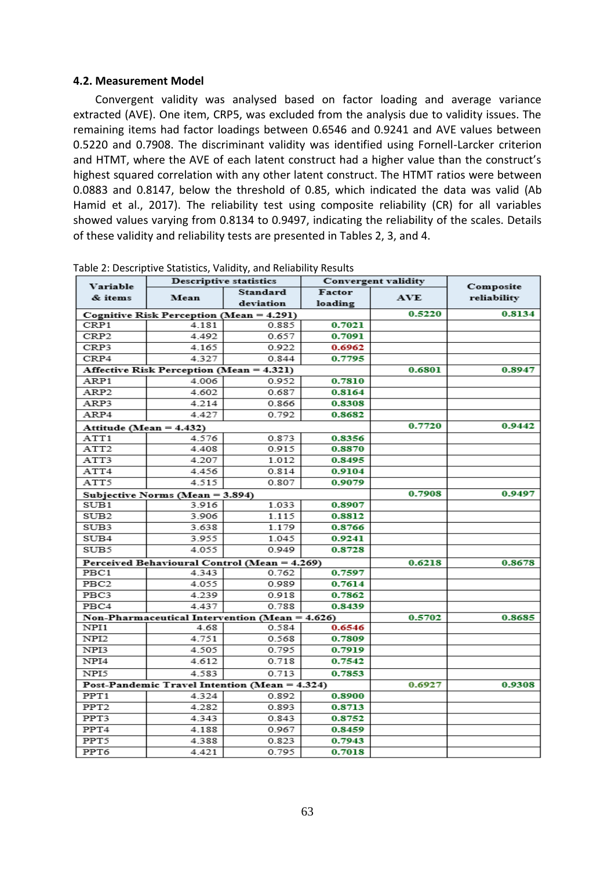#### **4.2. Measurement Model**

Convergent validity was analysed based on factor loading and average variance extracted (AVE). One item, CRP5, was excluded from the analysis due to validity issues. The remaining items had factor loadings between 0.6546 and 0.9241 and AVE values between 0.5220 and 0.7908. The discriminant validity was identified using Fornell-Larcker criterion and HTMT, where the AVE of each latent construct had a higher value than the construct's highest squared correlation with any other latent construct. The HTMT ratios were between 0.0883 and 0.8147, below the threshold of 0.85, which indicated the data was valid (Ab Hamid et al., 2017). The reliability test using composite reliability (CR) for all variables showed values varying from 0.8134 to 0.9497, indicating the reliability of the scales. Details of these validity and reliability tests are presented in Tables 2, 3, and 4.

|                     |                                                 | <b>Descriptive statistics</b> | Convergent validity |            |             |
|---------------------|-------------------------------------------------|-------------------------------|---------------------|------------|-------------|
| Variable<br>& items | Mean                                            | Standard                      | Factor              | <b>AVE</b> | Composite   |
|                     |                                                 | deviation                     | loading             |            | reliability |
|                     | Cognitive Risk Perception (Mean = 4.291)        | 0.5220                        | 0.8134              |            |             |
| CRP1                | 4.181                                           | 0.885                         | 0.7021              |            |             |
| CRP <sub>2</sub>    | 4.492                                           | 0.657                         | 0.7091              |            |             |
| CRP3                | 4.165                                           | 0.922                         | 0.6962              |            |             |
| CRP4                | 4.327                                           | 0.844                         | 0.7795              |            |             |
|                     | <b>Affective Risk Perception (Mean = 4.321)</b> |                               |                     | 0.6801     | 0.8947      |
| ARP1                | 4.006                                           | 0.952                         | 0.7810              |            |             |
| ARP <sub>2</sub>    | 4.602                                           | 0.687                         | 0.8164              |            |             |
| ARP3                | 4.214                                           | 0.866                         | 0.8308              |            |             |
| ARP4                | 4.427                                           | 0.792                         | 0.8682              |            |             |
|                     | Attitude (Mean = 4.432)                         |                               |                     | 0.7720     | 0.9442      |
| ATT1                | 4.576                                           | 0.873                         | 0.8356              |            |             |
| ATT <sub>2</sub>    | 4.408                                           | 0.915                         | 0.8870              |            |             |
| ATT3                | 4.207                                           | 1.012                         | 0.8495              |            |             |
| ATT4                | 4.456                                           | 0.814                         | 0.9104              |            |             |
| ATT5                | 4.515                                           | 0.807                         | 0.9079              |            |             |
|                     | Subjective Norms (Mean = 3.894)                 |                               |                     | 0.7908     | 0.9497      |
| SUB1                | 3.916                                           | 1.033                         | 0.8907              |            |             |
| SUB <sub>2</sub>    | 3.906                                           | 1.115                         | 0.8812              |            |             |
| SUB3                | 3.638                                           | 1.179                         | 0.8766              |            |             |
| SUB4                | 3.955                                           | 1.045                         | 0.9241              |            |             |
| SUB5                | 4.055                                           | 0.949                         | 0.8728              |            |             |
|                     | Perceived Behavioural Control (Mean = 4.269)    |                               |                     | 0.6218     | 0.8678      |
| PBC1                | 4.343                                           | 0.762                         | 0.7597              |            |             |
| PBC <sub>2</sub>    | 4.055                                           | 0.989                         | 0.7614              |            |             |
| PBC3                | 4.239                                           | 0.918                         | 0.7862              |            |             |
| PBC4                | 4.437                                           | 0.788                         | 0.8439              |            |             |
|                     | Non-Pharmaceutical Intervention (Mean = 4.626)  |                               |                     | 0.5702     | 0.8685      |
| NPI1                | 4.68                                            | 0.584                         | 0.6546              |            |             |
| NPI <sub>2</sub>    | 4.751                                           | 0.568                         | 0.7809              |            |             |
| NPI3                | 4.505                                           | 0.795                         | 0.7919              |            |             |
| NPI4                | 4.612                                           | 0.718                         | 0.7542              |            |             |
| NPI5                | 4.583                                           | 0.713                         | 0.7853              |            |             |
|                     | Post-Pandemic Travel Intention (Mean = 4.324)   |                               |                     | 0.6927     | 0.9308      |
| PPT1                | 4.324                                           | 0.892                         | 0.8900              |            |             |
| PPT <sub>2</sub>    | 4.282                                           | 0.893                         | 0.8713              |            |             |
| PPT3                | 4.343                                           | 0.843                         | 0.8752              |            |             |
| PPT4                | 4.188                                           | 0.967                         | 0.8459              |            |             |
| PPT5                | 4.388                                           | 0.823                         | 0.7943              |            |             |
| PPT6                | 4.421                                           | 0.795                         | 0.7018              |            |             |

Table 2: Descriptive Statistics, Validity, and Reliability Results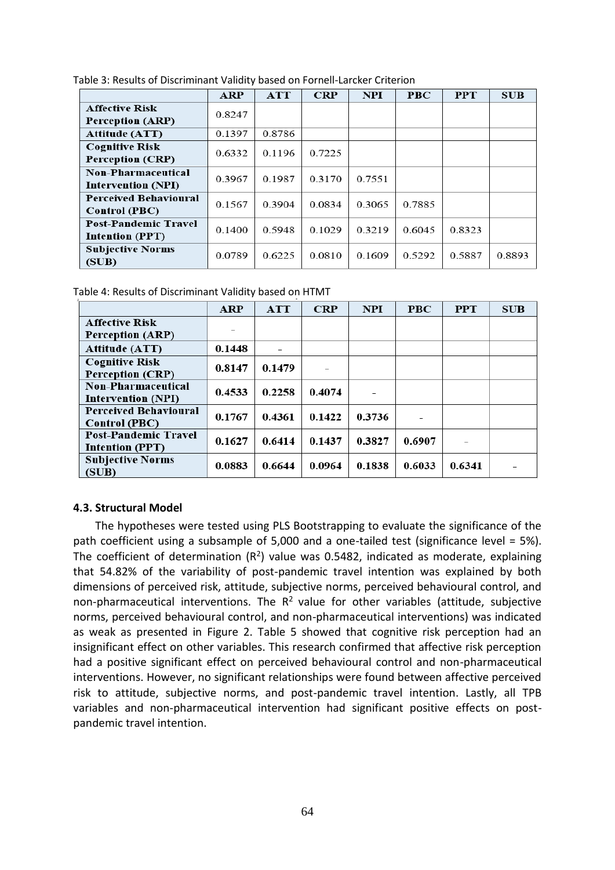|                                                       | <b>ARP</b> | <b>ATT</b> | <b>CRP</b> | <b>NPI</b> | <b>PBC</b> | <b>PPT</b> | <b>SUB</b> |
|-------------------------------------------------------|------------|------------|------------|------------|------------|------------|------------|
| <b>Affective Risk</b><br>Perception (ARP)             | 0.8247     |            |            |            |            |            |            |
| <b>Attitude (ATT)</b>                                 | 0.1397     | 0.8786     |            |            |            |            |            |
| <b>Cognitive Risk</b><br><b>Perception (CRP)</b>      | 0.6332     | 0.1196     | 0.7225     |            |            |            |            |
| Non-Pharmaceutical<br><b>Intervention (NPI)</b>       | 0.3967     | 0.1987     | 0.3170     | 0.7551     |            |            |            |
| <b>Perceived Behavioural</b><br><b>Control (PBC)</b>  | 0.1567     | 0.3904     | 0.0834     | 0.3065     | 0.7885     |            |            |
| <b>Post-Pandemic Travel</b><br><b>Intention (PPT)</b> | 0.1400     | 0.5948     | 0.1029     | 0.3219     | 0.6045     | 0.8323     |            |
| <b>Subjective Norms</b><br>(SUB)                      | 0.0789     | 0.6225     | 0.0810     | 0.1609     | 0.5292     | 0.5887     | 0.8893     |

|  | Table 4: Results of Discriminant Validity based on HTMT |  |  |
|--|---------------------------------------------------------|--|--|
|  |                                                         |  |  |

|                              | <b>ARP</b> | <b>ATT</b> | <b>CRP</b> | <b>NPI</b> | <b>PBC</b> | <b>PPT</b> | <b>SUB</b> |
|------------------------------|------------|------------|------------|------------|------------|------------|------------|
| <b>Affective Risk</b>        |            |            |            |            |            |            |            |
| Perception (ARP)             |            |            |            |            |            |            |            |
| <b>Attitude (ATT)</b>        | 0.1448     |            |            |            |            |            |            |
| <b>Cognitive Risk</b>        | 0.8147     | 0.1479     |            |            |            |            |            |
| <b>Perception (CRP)</b>      |            |            |            |            |            |            |            |
| <b>Non-Pharmaceutical</b>    | 0.4533     | 0.2258     | 0.4074     |            |            |            |            |
| <b>Intervention (NPI)</b>    |            |            |            |            |            |            |            |
| <b>Perceived Behavioural</b> | 0.1767     | 0.4361     | 0.1422     | 0.3736     |            |            |            |
| <b>Control (PBC)</b>         |            |            |            |            |            |            |            |
| <b>Post-Pandemic Travel</b>  | 0.1627     | 0.6414     | 0.1437     | 0.3827     | 0.6907     |            |            |
| <b>Intention (PPT)</b>       |            |            |            |            |            |            |            |
| <b>Subjective Norms</b>      | 0.0883     | 0.6644     | 0.0964     | 0.1838     | 0.6033     | 0.6341     |            |
| (SUB)                        |            |            |            |            |            |            |            |

## **4.3. Structural Model**

The hypotheses were tested using PLS Bootstrapping to evaluate the significance of the path coefficient using a subsample of 5,000 and a one-tailed test (significance level = 5%). The coefficient of determination ( $R^2$ ) value was 0.5482, indicated as moderate, explaining that 54.82% of the variability of post-pandemic travel intention was explained by both dimensions of perceived risk, attitude, subjective norms, perceived behavioural control, and non-pharmaceutical interventions. The  $R^2$  value for other variables (attitude, subjective norms, perceived behavioural control, and non-pharmaceutical interventions) was indicated as weak as presented in Figure 2. Table 5 showed that cognitive risk perception had an insignificant effect on other variables. This research confirmed that affective risk perception had a positive significant effect on perceived behavioural control and non-pharmaceutical interventions. However, no significant relationships were found between affective perceived risk to attitude, subjective norms, and post-pandemic travel intention. Lastly, all TPB variables and non-pharmaceutical intervention had significant positive effects on postpandemic travel intention.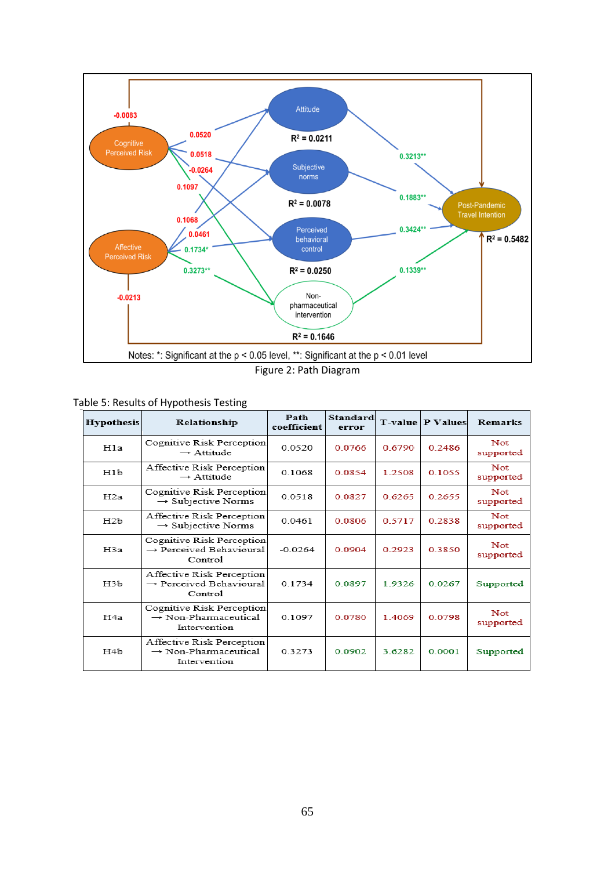

Figure 2: Path Diagram

| <b>Hypothesis</b> | Relationship                                                                  | Path<br>coefficient | <b>Standard</b><br>error | T-value | <b>P</b> Values | <b>Remarks</b>          |
|-------------------|-------------------------------------------------------------------------------|---------------------|--------------------------|---------|-----------------|-------------------------|
| H1a               | Cognitive Risk Perception<br>$\rightarrow$ Attitude                           | 0.0520              | 0.0766                   | 0.6790  | 0.2486          | Not<br>supported        |
| H1b               | Affective Risk Perception<br>$\rightarrow$ Attitude                           | 0.1068              | 0.0854                   | 1.2508  | 0.1055          | Not<br>supported        |
| H2a               | Cognitive Risk Perception<br>$\rightarrow$ Subjective Norms                   | 0.0518              | 0.0827                   | 0.62.65 | 0.2655          | Not<br>supported        |
| H2b               | Affective Risk Perception<br>$\rightarrow$ Subjective Norms                   | 0.0461              | 0.0806                   | 0.5717  | 0.2838          | Not<br>supported        |
| H <sub>3</sub> a  | Cognitive Risk Perception<br>$\rightarrow$ Perceived Behavioural<br>Control   | $-0.0264$           | 0.0904                   | 0.2923  | 0.3850          | <b>Not</b><br>supported |
| H3b               | Affective Risk Perception<br>→ Perceived Behavioural<br>Control               | 01734               | 0.0897                   | 19326   | 0.0267          | Supported               |
| H <sub>4</sub> a  | Cognitive Risk Perception<br>$\rightarrow$ Non-Pharmaceutical<br>Intervention | 0.1097              | 0.0780                   | 14069   | 0.0798          | Not<br>supported        |
| H4b               | Affective Risk Perception<br>$\rightarrow$ Non-Pharmaceutical<br>Intervention | 0.3273              | 0.0902                   | 3 62.82 | 0.0001          | Supported               |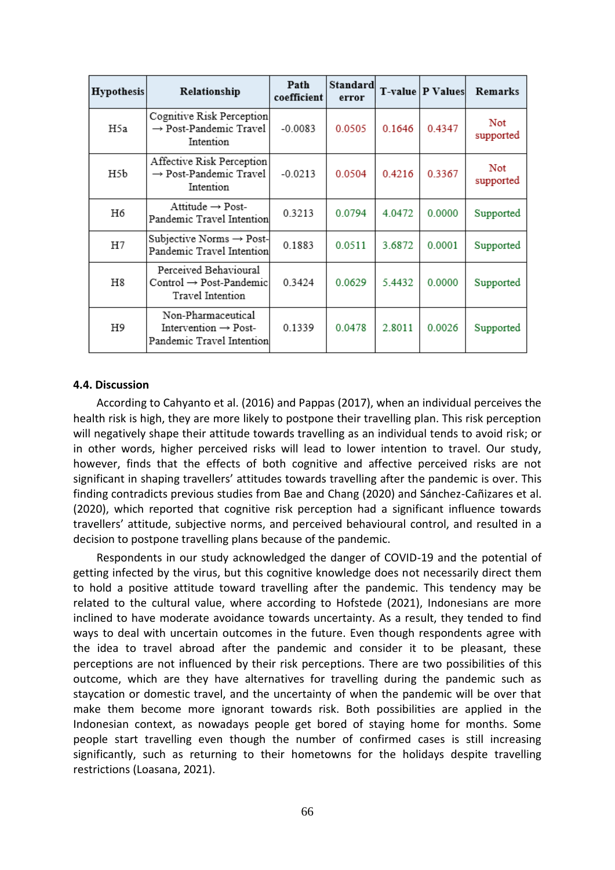| <b>Hypothesis</b> | Relationship                                                                        | Path<br>coefficient | Standard<br>error |        | T-value   P Values | Remarks          |
|-------------------|-------------------------------------------------------------------------------------|---------------------|-------------------|--------|--------------------|------------------|
| H5a               | Cognitive Risk Perception<br>$\rightarrow$ Post-Pandemic Travel<br>Intention        | $-0.0083$           | 0.0505            | 0.1646 | 0.4347             | Not<br>supported |
| H5b               | Affective Risk Perception<br>$\rightarrow$ Post-Pandemic Travel<br>Intention        | $-0.0213$           | 0.0504            | 0.4216 | 0.3367             | Not<br>supported |
| H6                | Attitude $\rightarrow$ Post-<br>Pandemic Travel Intention                           | 0.3213              | 0.0794            | 4.0472 | 0.0000             | Supported        |
| H7                | Subjective Norms $\rightarrow$ Post-<br>Pandemic Travel Intention                   | 0.1883              | 0.0511            | 3.6872 | 0.0001             | Supported        |
| H8                | Perceived Behavioural<br>$Control \rightarrow Post-Pandemic$<br>Travel Intention    | 0.3424              | 0.0629            | 5.4432 | 0.0000             | Supported        |
| H9                | Non-Pharmaceutical<br>Intervention $\rightarrow$ Post-<br>Pandemic Travel Intention | 0.1339              | 0.0478            | 2.8011 | 0.0026             | Supported        |

#### **4.4. Discussion**

According to Cahyanto et al. (2016) and Pappas (2017), when an individual perceives the health risk is high, they are more likely to postpone their travelling plan. This risk perception will negatively shape their attitude towards travelling as an individual tends to avoid risk; or in other words, higher perceived risks will lead to lower intention to travel. Our study, however, finds that the effects of both cognitive and affective perceived risks are not significant in shaping travellers' attitudes towards travelling after the pandemic is over. This finding contradicts previous studies from Bae and Chang (2020) and Sánchez-Cañizares et al. (2020), which reported that cognitive risk perception had a significant influence towards travellers' attitude, subjective norms, and perceived behavioural control, and resulted in a decision to postpone travelling plans because of the pandemic.

Respondents in our study acknowledged the danger of COVID-19 and the potential of getting infected by the virus, but this cognitive knowledge does not necessarily direct them to hold a positive attitude toward travelling after the pandemic. This tendency may be related to the cultural value, where according to Hofstede (2021), Indonesians are more inclined to have moderate avoidance towards uncertainty. As a result, they tended to find ways to deal with uncertain outcomes in the future. Even though respondents agree with the idea to travel abroad after the pandemic and consider it to be pleasant, these perceptions are not influenced by their risk perceptions. There are two possibilities of this outcome, which are they have alternatives for travelling during the pandemic such as staycation or domestic travel, and the uncertainty of when the pandemic will be over that make them become more ignorant towards risk. Both possibilities are applied in the Indonesian context, as nowadays people get bored of staying home for months. Some people start travelling even though the number of confirmed cases is still increasing significantly, such as returning to their hometowns for the holidays despite travelling restrictions (Loasana, 2021).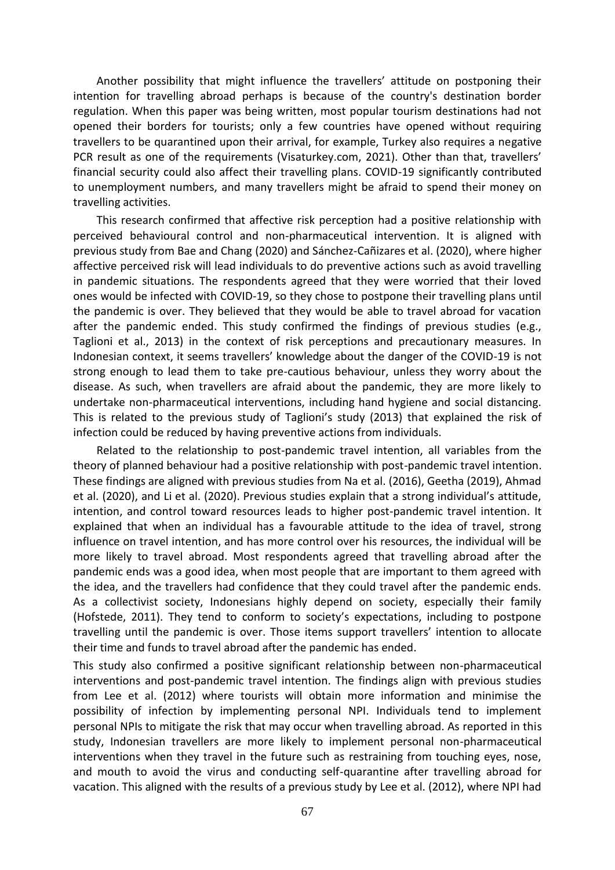Another possibility that might influence the travellers' attitude on postponing their intention for travelling abroad perhaps is because of the country's destination border regulation. When this paper was being written, most popular tourism destinations had not opened their borders for tourists; only a few countries have opened without requiring travellers to be quarantined upon their arrival, for example, Turkey also requires a negative PCR result as one of the requirements (Visaturkey.com, 2021). Other than that, travellers' financial security could also affect their travelling plans. COVID-19 significantly contributed to unemployment numbers, and many travellers might be afraid to spend their money on travelling activities.

This research confirmed that affective risk perception had a positive relationship with perceived behavioural control and non-pharmaceutical intervention. It is aligned with previous study from Bae and Chang (2020) and Sánchez-Cañizares et al. (2020), where higher affective perceived risk will lead individuals to do preventive actions such as avoid travelling in pandemic situations. The respondents agreed that they were worried that their loved ones would be infected with COVID-19, so they chose to postpone their travelling plans until the pandemic is over. They believed that they would be able to travel abroad for vacation after the pandemic ended. This study confirmed the findings of previous studies (e.g., Taglioni et al., 2013) in the context of risk perceptions and precautionary measures. In Indonesian context, it seems travellers' knowledge about the danger of the COVID-19 is not strong enough to lead them to take pre-cautious behaviour, unless they worry about the disease. As such, when travellers are afraid about the pandemic, they are more likely to undertake non-pharmaceutical interventions, including hand hygiene and social distancing. This is related to the previous study of Taglioni's study (2013) that explained the risk of infection could be reduced by having preventive actions from individuals.

Related to the relationship to post-pandemic travel intention, all variables from the theory of planned behaviour had a positive relationship with post-pandemic travel intention. These findings are aligned with previous studies from Na et al. (2016), Geetha (2019), Ahmad et al. (2020), and Li et al. (2020). Previous studies explain that a strong individual's attitude, intention, and control toward resources leads to higher post-pandemic travel intention. It explained that when an individual has a favourable attitude to the idea of travel, strong influence on travel intention, and has more control over his resources, the individual will be more likely to travel abroad. Most respondents agreed that travelling abroad after the pandemic ends was a good idea, when most people that are important to them agreed with the idea, and the travellers had confidence that they could travel after the pandemic ends. As a collectivist society, Indonesians highly depend on society, especially their family (Hofstede, 2011). They tend to conform to society's expectations, including to postpone travelling until the pandemic is over. Those items support travellers' intention to allocate their time and funds to travel abroad after the pandemic has ended.

This study also confirmed a positive significant relationship between non-pharmaceutical interventions and post-pandemic travel intention. The findings align with previous studies from Lee et al. (2012) where tourists will obtain more information and minimise the possibility of infection by implementing personal NPI. Individuals tend to implement personal NPIs to mitigate the risk that may occur when travelling abroad. As reported in this study, Indonesian travellers are more likely to implement personal non-pharmaceutical interventions when they travel in the future such as restraining from touching eyes, nose, and mouth to avoid the virus and conducting self-quarantine after travelling abroad for vacation. This aligned with the results of a previous study by Lee et al. (2012), where NPI had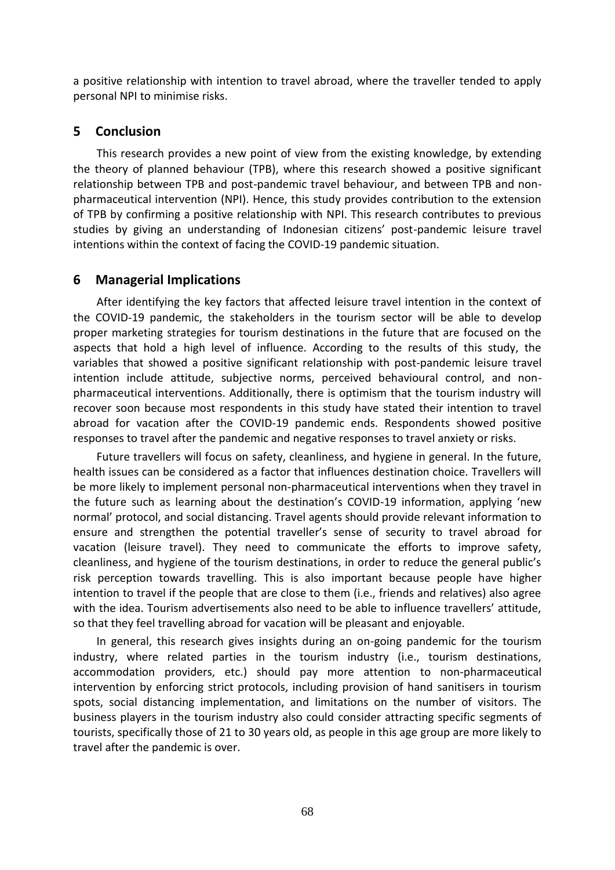a positive relationship with intention to travel abroad, where the traveller tended to apply personal NPI to minimise risks.

# **5 Conclusion**

This research provides a new point of view from the existing knowledge, by extending the theory of planned behaviour (TPB), where this research showed a positive significant relationship between TPB and post-pandemic travel behaviour, and between TPB and nonpharmaceutical intervention (NPI). Hence, this study provides contribution to the extension of TPB by confirming a positive relationship with NPI. This research contributes to previous studies by giving an understanding of Indonesian citizens' post-pandemic leisure travel intentions within the context of facing the COVID-19 pandemic situation.

# **6 Managerial Implications**

After identifying the key factors that affected leisure travel intention in the context of the COVID-19 pandemic, the stakeholders in the tourism sector will be able to develop proper marketing strategies for tourism destinations in the future that are focused on the aspects that hold a high level of influence. According to the results of this study, the variables that showed a positive significant relationship with post-pandemic leisure travel intention include attitude, subjective norms, perceived behavioural control, and nonpharmaceutical interventions. Additionally, there is optimism that the tourism industry will recover soon because most respondents in this study have stated their intention to travel abroad for vacation after the COVID-19 pandemic ends. Respondents showed positive responses to travel after the pandemic and negative responses to travel anxiety or risks.

Future travellers will focus on safety, cleanliness, and hygiene in general. In the future, health issues can be considered as a factor that influences destination choice. Travellers will be more likely to implement personal non-pharmaceutical interventions when they travel in the future such as learning about the destination's COVID-19 information, applying 'new normal' protocol, and social distancing. Travel agents should provide relevant information to ensure and strengthen the potential traveller's sense of security to travel abroad for vacation (leisure travel). They need to communicate the efforts to improve safety, cleanliness, and hygiene of the tourism destinations, in order to reduce the general public's risk perception towards travelling. This is also important because people have higher intention to travel if the people that are close to them (i.e., friends and relatives) also agree with the idea. Tourism advertisements also need to be able to influence travellers' attitude, so that they feel travelling abroad for vacation will be pleasant and enjoyable.

In general, this research gives insights during an on-going pandemic for the tourism industry, where related parties in the tourism industry (i.e., tourism destinations, accommodation providers, etc.) should pay more attention to non-pharmaceutical intervention by enforcing strict protocols, including provision of hand sanitisers in tourism spots, social distancing implementation, and limitations on the number of visitors. The business players in the tourism industry also could consider attracting specific segments of tourists, specifically those of 21 to 30 years old, as people in this age group are more likely to travel after the pandemic is over.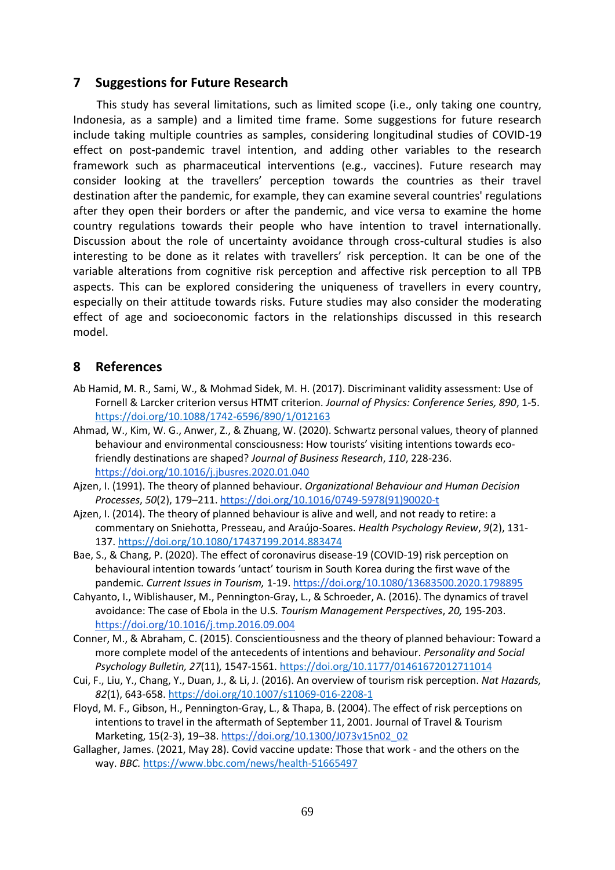# **7 Suggestions for Future Research**

This study has several limitations, such as limited scope (i.e., only taking one country, Indonesia, as a sample) and a limited time frame. Some suggestions for future research include taking multiple countries as samples, considering longitudinal studies of COVID-19 effect on post-pandemic travel intention, and adding other variables to the research framework such as pharmaceutical interventions (e.g., vaccines). Future research may consider looking at the travellers' perception towards the countries as their travel destination after the pandemic, for example, they can examine several countries' regulations after they open their borders or after the pandemic, and vice versa to examine the home country regulations towards their people who have intention to travel internationally. Discussion about the role of uncertainty avoidance through cross-cultural studies is also interesting to be done as it relates with travellers' risk perception. It can be one of the variable alterations from cognitive risk perception and affective risk perception to all TPB aspects. This can be explored considering the uniqueness of travellers in every country, especially on their attitude towards risks. Future studies may also consider the moderating effect of age and socioeconomic factors in the relationships discussed in this research model.

# **8 References**

- Ab Hamid, M. R., Sami, W., & Mohmad Sidek, M. H. (2017). Discriminant validity assessment: Use of Fornell & Larcker criterion versus HTMT criterion. *Journal of Physics: Conference Series, 890*, 1-5. <https://doi.org/10.1088/1742-6596/890/1/012163>
- Ahmad, W., Kim, W. G., Anwer, Z., & Zhuang, W. (2020). Schwartz personal values, theory of planned behaviour and environmental consciousness: How tourists' visiting intentions towards ecofriendly destinations are shaped? *Journal of Business Research*, *110*, 228-236. <https://doi.org/10.1016/j.jbusres.2020.01.040>
- Ajzen, I. (1991). The theory of planned behaviour. *Organizational Behaviour and Human Decision Processes*, *50*(2), 179–211. [https://doi.org/10.1016/0749-5978\(91\)90020-t](https://doi.org/10.1016/0749-5978(91)90020-t)
- Ajzen, I. (2014). The theory of planned behaviour is alive and well, and not ready to retire: a commentary on Sniehotta, Presseau, and Araújo-Soares. *Health Psychology Review*, *9*(2), 131- 137.<https://doi.org/10.1080/17437199.2014.883474>
- Bae, S., & Chang, P. (2020). The effect of coronavirus disease-19 (COVID-19) risk perception on behavioural intention towards 'untact' tourism in South Korea during the first wave of the pandemic. *Current Issues in Tourism,* 1-19[. https://doi.org/10.1080/13683500.2020.1798895](https://doi.org/10.1080/13683500.2020.1798895)
- Cahyanto, I., Wiblishauser, M., Pennington-Gray, L., & Schroeder, A. (2016). The dynamics of travel avoidance: The case of Ebola in the U.S. *Tourism Management Perspectives*, *20,* 195-203. <https://doi.org/10.1016/j.tmp.2016.09.004>
- Conner, M., & Abraham, C. (2015). Conscientiousness and the theory of planned behaviour: Toward a more complete model of the antecedents of intentions and behaviour. *Personality and Social Psychology Bulletin, 27*(11)*,* 1547-1561[. https://doi.org/10.1177/01461672012711014](https://doi.org/10.1177/01461672012711014)
- Cui, F., Liu, Y., Chang, Y., Duan, J., & Li, J. (2016). An overview of tourism risk perception. *Nat Hazards, 82*(1), 643-658.<https://doi.org/10.1007/s11069-016-2208-1>
- Floyd, M. F., Gibson, H., Pennington-Gray, L., & Thapa, B. (2004). The effect of risk perceptions on intentions to travel in the aftermath of September 11, 2001. Journal of Travel & Tourism Marketing, 15(2-3), 19-38. [https://doi.org/10.1300/J073v15n02\\_02](https://doi.org/10.1300/J073v15n02_02)
- Gallagher, James. (2021, May 28). Covid vaccine update: Those that work and the others on the way. *BBC.* <https://www.bbc.com/news/health-51665497>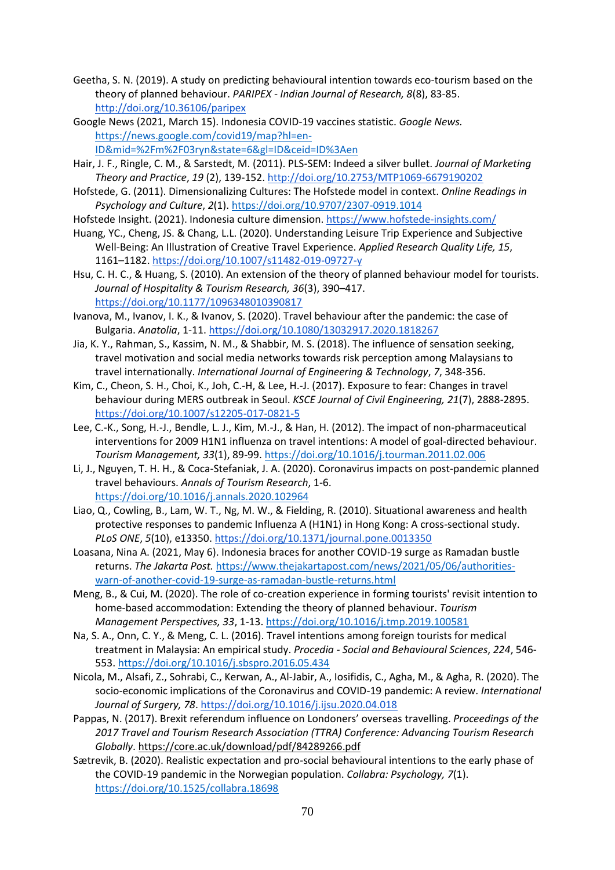- Geetha, S. N. (2019). A study on predicting behavioural intention towards eco-tourism based on the theory of planned behaviour. *PARIPEX - Indian Journal of Research, 8*(8), 83-85. <http://doi.org/10.36106/paripex>
- Google News (2021, March 15). Indonesia COVID-19 vaccines statistic. *Google News.*  [https://news.google.com/covid19/map?hl=en-](https://news.google.com/covid19/map?hl=en-ID&mid=%2Fm%2F03ryn&state=6&gl=ID&ceid=ID%3Aen)[ID&mid=%2Fm%2F03ryn&state=6&gl=ID&ceid=ID%3Aen](https://news.google.com/covid19/map?hl=en-ID&mid=%2Fm%2F03ryn&state=6&gl=ID&ceid=ID%3Aen)
- Hair, J. F., Ringle, C. M., & Sarstedt, M. (2011). PLS-SEM: Indeed a silver bullet. *Journal of Marketing Theory and Practice*, *19* (2), 139-152. [http://doi.org/10.2753/MTP1069-6679190202](http://dx.doi.org/10.2753/MTP1069-6679190202)
- Hofstede, G. (2011). Dimensionalizing Cultures: The Hofstede model in context. *Online Readings in Psychology and Culture*, *2*(1).<https://doi.org/10.9707/2307-0919.1014>
- Hofstede Insight. (2021). Indonesia culture dimension.<https://www.hofstede-insights.com/>
- Huang, YC., Cheng, JS. & Chang, L.L. (2020). Understanding Leisure Trip Experience and Subjective Well-Being: An Illustration of Creative Travel Experience. *Applied Research Quality Life, 15*, 1161–1182[. https://doi.org/10.1007/s11482-019-09727-y](https://doi.org/10.1007/s11482-019-09727-y)
- Hsu, C. H. C., & Huang, S. (2010). An extension of the theory of planned behaviour model for tourists. *Journal of Hospitality & Tourism Research, 36*(3), 390–417. https://doi.org/10.1177/1096348010390817
- Ivanova, M., Ivanov, I. K., & Ivanov, S. (2020). Travel behaviour after the pandemic: the case of Bulgaria. *Anatolia*, 1-11.<https://doi.org/10.1080/13032917.2020.1818267>
- Jia, K. Y., Rahman, S., Kassim, N. M., & Shabbir, M. S. (2018). The influence of sensation seeking, travel motivation and social media networks towards risk perception among Malaysians to travel internationally. *International Journal of Engineering & Technology*, *7*, 348-356.
- Kim, C., Cheon, S. H., Choi, K., Joh, C.-H, & Lee, H.-J. (2017). Exposure to fear: Changes in travel behaviour during MERS outbreak in Seoul. *KSCE Journal of Civil Engineering, 21*(7), 2888-2895. <https://doi.org/10.1007/s12205-017-0821-5>
- Lee, C.-K., Song, H.-J., Bendle, L. J., Kim, M.-J., & Han, H. (2012). The impact of non-pharmaceutical interventions for 2009 H1N1 influenza on travel intentions: A model of goal-directed behaviour. *Tourism Management, 33*(1), 89-99.<https://doi.org/10.1016/j.tourman.2011.02.006>
- Li, J., Nguyen, T. H. H., & Coca-Stefaniak, J. A. (2020). Coronavirus impacts on post-pandemic planned travel behaviours. *Annals of Tourism Research*, 1-6. <https://doi.org/10.1016/j.annals.2020.102964>
- Liao, Q., Cowling, B., Lam, W. T., Ng, M. W., & Fielding, R. (2010). Situational awareness and health protective responses to pandemic Influenza A (H1N1) in Hong Kong: A cross-sectional study. *PLoS ONE*, *5*(10), e13350[. https://doi.org/10.1371/journal.pone.0013350](https://doi.org/10.1371/journal.pone.0013350)
- Loasana, Nina A. (2021, May 6). Indonesia braces for another COVID-19 surge as Ramadan bustle returns. *The Jakarta Post.* [https://www.thejakartapost.com/news/2021/05/06/authorities](https://www.thejakartapost.com/news/2021/05/06/authorities-warn-of-another-covid-19-surge-as-ramadan-bustle-returns.html)[warn-of-another-covid-19-surge-as-ramadan-bustle-returns.html](https://www.thejakartapost.com/news/2021/05/06/authorities-warn-of-another-covid-19-surge-as-ramadan-bustle-returns.html)
- Meng, B., & Cui, M. (2020). The role of co-creation experience in forming tourists' revisit intention to home-based accommodation: Extending the theory of planned behaviour. *Tourism Management Perspectives, 33*, 1-13[. https://doi.org/10.1016/j.tmp.2019.100581](https://doi.org/10.1016/j.tmp.2019.100581)
- Na, S. A., Onn, C. Y., & Meng, C. L. (2016). Travel intentions among foreign tourists for medical treatment in Malaysia: An empirical study. *Procedia - Social and Behavioural Sciences*, *224*, 546- 553.<https://doi.org/10.1016/j.sbspro.2016.05.434>
- Nicola, M., Alsafi, Z., Sohrabi, C., Kerwan, A., Al-Jabir, A., Iosifidis, C., Agha, M., & Agha, R. (2020). The socio-economic implications of the Coronavirus and COVID-19 pandemic: A review. *International Journal of Surgery, 78*.<https://doi.org/10.1016/j.ijsu.2020.04.018>
- Pappas, N. (2017). Brexit referendum influence on Londoners' overseas travelling. *Proceedings of the 2017 Travel and Tourism Research Association (TTRA) Conference: Advancing Tourism Research Globally*. [https://core.ac.uk/download/pdf/84289266.pdf](https://core.ac.uk/download/pdf/84289266.pdf.)
- Sætrevik, B. (2020). Realistic expectation and pro-social behavioural intentions to the early phase of the COVID-19 pandemic in the Norwegian population. *Collabra: Psychology, 7*(1). <https://doi.org/10.1525/collabra.18698>